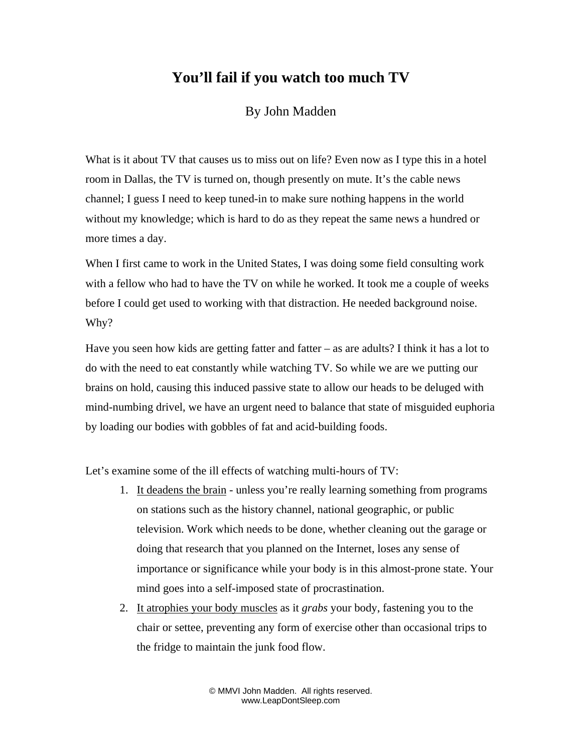## **You'll fail if you watch too much TV**

## By John Madden

What is it about TV that causes us to miss out on life? Even now as I type this in a hotel room in Dallas, the TV is turned on, though presently on mute. It's the cable news channel; I guess I need to keep tuned-in to make sure nothing happens in the world without my knowledge; which is hard to do as they repeat the same news a hundred or more times a day.

When I first came to work in the United States, I was doing some field consulting work with a fellow who had to have the TV on while he worked. It took me a couple of weeks before I could get used to working with that distraction. He needed background noise. Why?

Have you seen how kids are getting fatter and fatter  $-$  as are adults? I think it has a lot to do with the need to eat constantly while watching TV. So while we are we putting our brains on hold, causing this induced passive state to allow our heads to be deluged with mind-numbing drivel, we have an urgent need to balance that state of misguided euphoria by loading our bodies with gobbles of fat and acid-building foods.

Let's examine some of the ill effects of watching multi-hours of TV:

- 1. It deadens the brain unless you're really learning something from programs on stations such as the history channel, national geographic, or public television. Work which needs to be done, whether cleaning out the garage or doing that research that you planned on the Internet, loses any sense of importance or significance while your body is in this almost-prone state. Your mind goes into a self-imposed state of procrastination.
- 2. It atrophies your body muscles as it *grabs* your body, fastening you to the chair or settee, preventing any form of exercise other than occasional trips to the fridge to maintain the junk food flow.